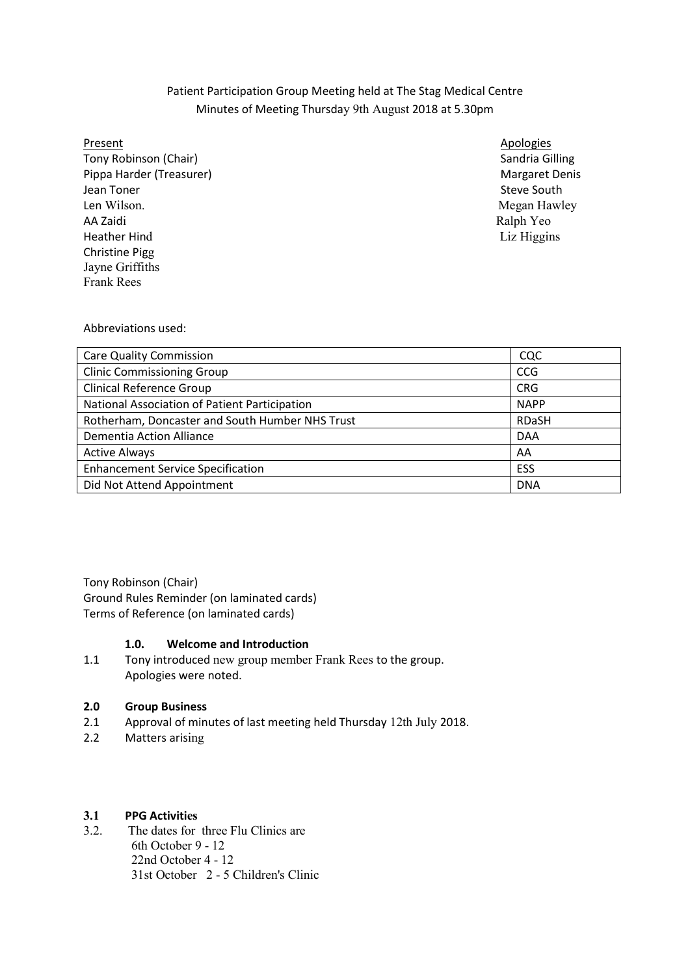# Patient Participation Group Meeting held at The Stag Medical Centre Minutes of Meeting Thursday 9th August 2018 at 5.30pm

### Present

Tony Robinson (Chair) Sandria Gilling Sandria Gilling Sandria Gilling Pippa Harder (Treasurer) Margaret Denis Jean Toner Len Wilson. AA Zaidi **Heather Hind**  Christine Pigg Jayne Griffiths Frank Rees

**Apologies** Steve South Megan Hawley Ralph Yeo Liz Higgins

Abbreviations used:

| <b>Care Quality Commission</b>                  | CQC          |
|-------------------------------------------------|--------------|
| <b>Clinic Commissioning Group</b>               | <b>CCG</b>   |
| <b>Clinical Reference Group</b>                 | <b>CRG</b>   |
| National Association of Patient Participation   | <b>NAPP</b>  |
| Rotherham, Doncaster and South Humber NHS Trust | <b>RDaSH</b> |
| Dementia Action Alliance                        | <b>DAA</b>   |
| <b>Active Always</b>                            | AA           |
| <b>Enhancement Service Specification</b>        | ESS          |
| Did Not Attend Appointment                      | <b>DNA</b>   |

Tony Robinson (Chair)

 Ground Rules Reminder (on laminated cards) Terms of Reference (on laminated cards)

# 1.0. Welcome and Introduction

 $1.1$  Apologies were noted. Tony introduced new group member Frank Rees to the group.

# 2.0 Group Business

- 2.1 Approval of minutes of last meeting held Thursday 12th July 2018.
- 2.2 Matters arising

#### $3.1$ 3.1 PPG Activities

 $3.2.$ The dates for three Flu Clinics are 6th October 9 - 12 22nd October 4 - 12 31st October 2 - 5 Children's Clinic